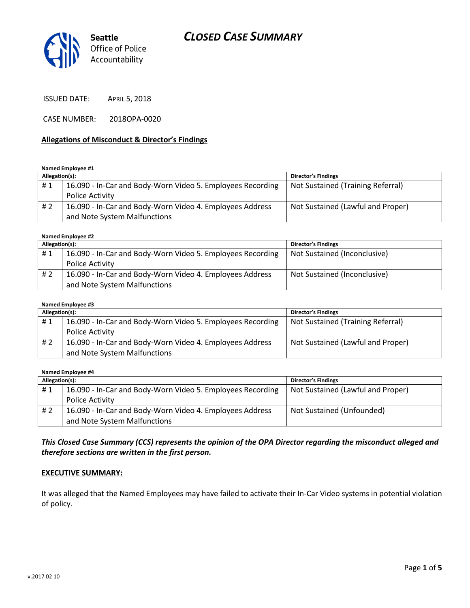# *CLOSED CASE SUMMARY*



ISSUED DATE: APRIL 5, 2018

CASE NUMBER: 2018OPA-0020

## **Allegations of Misconduct & Director's Findings**

**Named Employee #1**

| Allegation(s): |                                                            | Director's Findings               |
|----------------|------------------------------------------------------------|-----------------------------------|
| #1             | 16.090 - In-Car and Body-Worn Video 5. Employees Recording | Not Sustained (Training Referral) |
|                | <b>Police Activity</b>                                     |                                   |
| #2             | 16.090 - In-Car and Body-Worn Video 4. Employees Address   | Not Sustained (Lawful and Proper) |
|                | and Note System Malfunctions                               |                                   |

**Named Employee #2**

| Allegation(s): |                                                            | <b>Director's Findings</b>   |  |  |
|----------------|------------------------------------------------------------|------------------------------|--|--|
| #1             | 16.090 - In-Car and Body-Worn Video 5. Employees Recording | Not Sustained (Inconclusive) |  |  |
|                | <b>Police Activity</b>                                     |                              |  |  |
| #2             | 16.090 - In-Car and Body-Worn Video 4. Employees Address   | Not Sustained (Inconclusive) |  |  |
|                | and Note System Malfunctions                               |                              |  |  |

#### **Named Employee #3**

| Allegation(s): |                                                                                          | <b>Director's Findings</b>        |
|----------------|------------------------------------------------------------------------------------------|-----------------------------------|
| #1             | 16.090 - In-Car and Body-Worn Video 5. Employees Recording                               | Not Sustained (Training Referral) |
|                | Police Activity                                                                          |                                   |
| # 2            | 16.090 - In-Car and Body-Worn Video 4. Employees Address<br>and Note System Malfunctions | Not Sustained (Lawful and Proper) |

**Named Employee #4**

| Allegation(s): |                                                            | <b>Director's Findings</b>        |
|----------------|------------------------------------------------------------|-----------------------------------|
| #1             | 16.090 - In-Car and Body-Worn Video 5. Employees Recording | Not Sustained (Lawful and Proper) |
|                | <b>Police Activity</b>                                     |                                   |
| # 2            | 16.090 - In-Car and Body-Worn Video 4. Employees Address   | Not Sustained (Unfounded)         |
|                | and Note System Malfunctions                               |                                   |

*This Closed Case Summary (CCS) represents the opinion of the OPA Director regarding the misconduct alleged and therefore sections are written in the first person.* 

#### **EXECUTIVE SUMMARY:**

It was alleged that the Named Employees may have failed to activate their In-Car Video systems in potential violation of policy.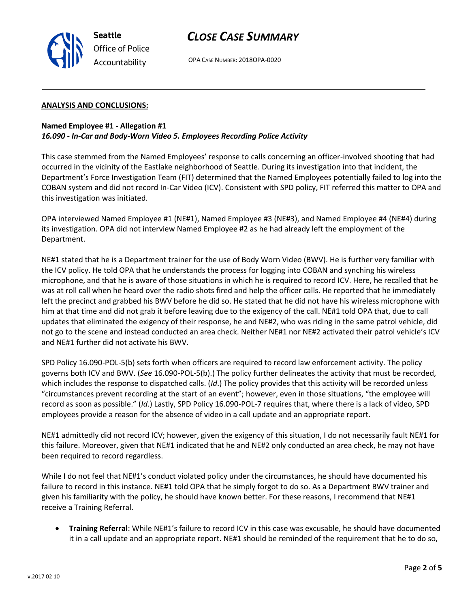

OPA CASE NUMBER: 2018OPA-0020

#### **ANALYSIS AND CONCLUSIONS:**

**Seattle**

*Office of Police Accountability*

#### **Named Employee #1 - Allegation #1** *16.090 - In-Car and Body-Worn Video 5. Employees Recording Police Activity*

This case stemmed from the Named Employees' response to calls concerning an officer-involved shooting that had occurred in the vicinity of the Eastlake neighborhood of Seattle. During its investigation into that incident, the Department's Force Investigation Team (FIT) determined that the Named Employees potentially failed to log into the COBAN system and did not record In-Car Video (ICV). Consistent with SPD policy, FIT referred this matter to OPA and this investigation was initiated.

OPA interviewed Named Employee #1 (NE#1), Named Employee #3 (NE#3), and Named Employee #4 (NE#4) during its investigation. OPA did not interview Named Employee #2 as he had already left the employment of the Department.

NE#1 stated that he is a Department trainer for the use of Body Worn Video (BWV). He is further very familiar with the ICV policy. He told OPA that he understands the process for logging into COBAN and synching his wireless microphone, and that he is aware of those situations in which he is required to record ICV. Here, he recalled that he was at roll call when he heard over the radio shots fired and help the officer calls. He reported that he immediately left the precinct and grabbed his BWV before he did so. He stated that he did not have his wireless microphone with him at that time and did not grab it before leaving due to the exigency of the call. NE#1 told OPA that, due to call updates that eliminated the exigency of their response, he and NE#2, who was riding in the same patrol vehicle, did not go to the scene and instead conducted an area check. Neither NE#1 nor NE#2 activated their patrol vehicle's ICV and NE#1 further did not activate his BWV.

SPD Policy 16.090-POL-5(b) sets forth when officers are required to record law enforcement activity. The policy governs both ICV and BWV. (*See* 16.090-POL-5(b).) The policy further delineates the activity that must be recorded, which includes the response to dispatched calls. (*Id*.) The policy provides that this activity will be recorded unless "circumstances prevent recording at the start of an event"; however, even in those situations, "the employee will record as soon as possible." (*Id*.) Lastly, SPD Policy 16.090-POL-7 requires that, where there is a lack of video, SPD employees provide a reason for the absence of video in a call update and an appropriate report.

NE#1 admittedly did not record ICV; however, given the exigency of this situation, I do not necessarily fault NE#1 for this failure. Moreover, given that NE#1 indicated that he and NE#2 only conducted an area check, he may not have been required to record regardless.

While I do not feel that NE#1's conduct violated policy under the circumstances, he should have documented his failure to record in this instance. NE#1 told OPA that he simply forgot to do so. As a Department BWV trainer and given his familiarity with the policy, he should have known better. For these reasons, I recommend that NE#1 receive a Training Referral.

• **Training Referral**: While NE#1's failure to record ICV in this case was excusable, he should have documented it in a call update and an appropriate report. NE#1 should be reminded of the requirement that he to do so,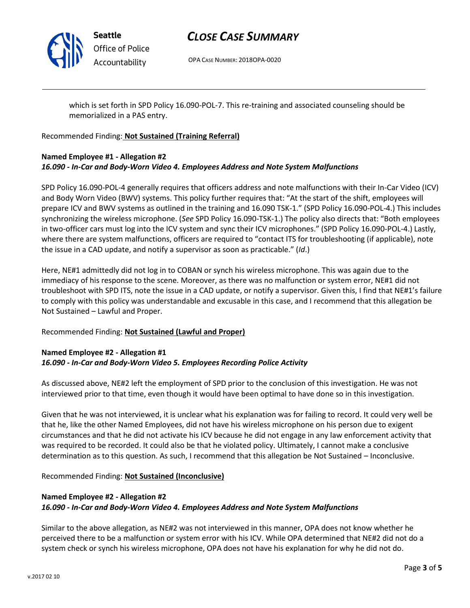

**Seattle** *Office of Police Accountability*

# *CLOSE CASE SUMMARY*

OPA CASE NUMBER: 2018OPA-0020

which is set forth in SPD Policy 16.090-POL-7. This re-training and associated counseling should be memorialized in a PAS entry.

Recommended Finding: **Not Sustained (Training Referral)**

### **Named Employee #1 - Allegation #2** *16.090 - In-Car and Body-Worn Video 4. Employees Address and Note System Malfunctions*

SPD Policy 16.090-POL-4 generally requires that officers address and note malfunctions with their In-Car Video (ICV) and Body Worn Video (BWV) systems. This policy further requires that: "At the start of the shift, employees will prepare ICV and BWV systems as outlined in the training and 16.090 TSK-1." (SPD Policy 16.090-POL-4.) This includes synchronizing the wireless microphone. (*See* SPD Policy 16.090-TSK-1.) The policy also directs that: "Both employees in two-officer cars must log into the ICV system and sync their ICV microphones." (SPD Policy 16.090-POL-4.) Lastly, where there are system malfunctions, officers are required to "contact ITS for troubleshooting (if applicable), note the issue in a CAD update, and notify a supervisor as soon as practicable." (*Id*.)

Here, NE#1 admittedly did not log in to COBAN or synch his wireless microphone. This was again due to the immediacy of his response to the scene. Moreover, as there was no malfunction or system error, NE#1 did not troubleshoot with SPD ITS, note the issue in a CAD update, or notify a supervisor. Given this, I find that NE#1's failure to comply with this policy was understandable and excusable in this case, and I recommend that this allegation be Not Sustained – Lawful and Proper.

### Recommended Finding: **Not Sustained (Lawful and Proper)**

#### **Named Employee #2 - Allegation #1** *16.090 - In-Car and Body-Worn Video 5. Employees Recording Police Activity*

As discussed above, NE#2 left the employment of SPD prior to the conclusion of this investigation. He was not interviewed prior to that time, even though it would have been optimal to have done so in this investigation.

Given that he was not interviewed, it is unclear what his explanation was for failing to record. It could very well be that he, like the other Named Employees, did not have his wireless microphone on his person due to exigent circumstances and that he did not activate his ICV because he did not engage in any law enforcement activity that was required to be recorded. It could also be that he violated policy. Ultimately, I cannot make a conclusive determination as to this question. As such, I recommend that this allegation be Not Sustained – Inconclusive.

Recommended Finding: **Not Sustained (Inconclusive)**

## **Named Employee #2 - Allegation #2** *16.090 - In-Car and Body-Worn Video 4. Employees Address and Note System Malfunctions*

Similar to the above allegation, as NE#2 was not interviewed in this manner, OPA does not know whether he perceived there to be a malfunction or system error with his ICV. While OPA determined that NE#2 did not do a system check or synch his wireless microphone, OPA does not have his explanation for why he did not do.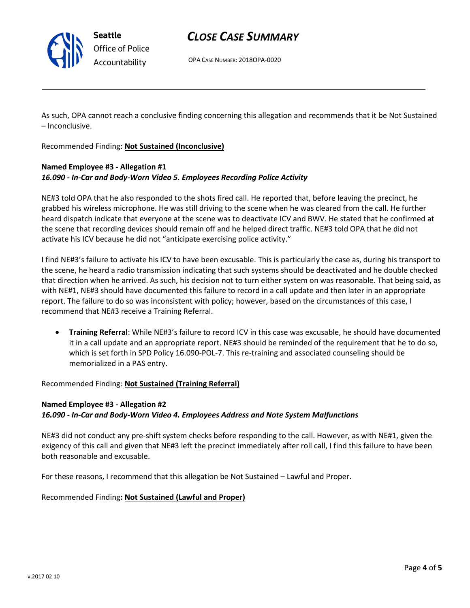

# *CLOSE CASE SUMMARY*

OPA CASE NUMBER: 2018OPA-0020

As such, OPA cannot reach a conclusive finding concerning this allegation and recommends that it be Not Sustained – Inconclusive.

Recommended Finding: **Not Sustained (Inconclusive)**

#### **Named Employee #3 - Allegation #1** *16.090 - In-Car and Body-Worn Video 5. Employees Recording Police Activity*

NE#3 told OPA that he also responded to the shots fired call. He reported that, before leaving the precinct, he grabbed his wireless microphone. He was still driving to the scene when he was cleared from the call. He further heard dispatch indicate that everyone at the scene was to deactivate ICV and BWV. He stated that he confirmed at the scene that recording devices should remain off and he helped direct traffic. NE#3 told OPA that he did not activate his ICV because he did not "anticipate exercising police activity."

I find NE#3's failure to activate his ICV to have been excusable. This is particularly the case as, during his transport to the scene, he heard a radio transmission indicating that such systems should be deactivated and he double checked that direction when he arrived. As such, his decision not to turn either system on was reasonable. That being said, as with NE#1, NE#3 should have documented this failure to record in a call update and then later in an appropriate report. The failure to do so was inconsistent with policy; however, based on the circumstances of this case, I recommend that NE#3 receive a Training Referral.

• **Training Referral**: While NE#3's failure to record ICV in this case was excusable, he should have documented it in a call update and an appropriate report. NE#3 should be reminded of the requirement that he to do so, which is set forth in SPD Policy 16.090-POL-7. This re-training and associated counseling should be memorialized in a PAS entry.

Recommended Finding: **Not Sustained (Training Referral)**

### **Named Employee #3 - Allegation #2** *16.090 - In-Car and Body-Worn Video 4. Employees Address and Note System Malfunctions*

NE#3 did not conduct any pre-shift system checks before responding to the call. However, as with NE#1, given the exigency of this call and given that NE#3 left the precinct immediately after roll call, I find this failure to have been both reasonable and excusable.

For these reasons, I recommend that this allegation be Not Sustained – Lawful and Proper.

#### Recommended Finding**: Not Sustained (Lawful and Proper)**